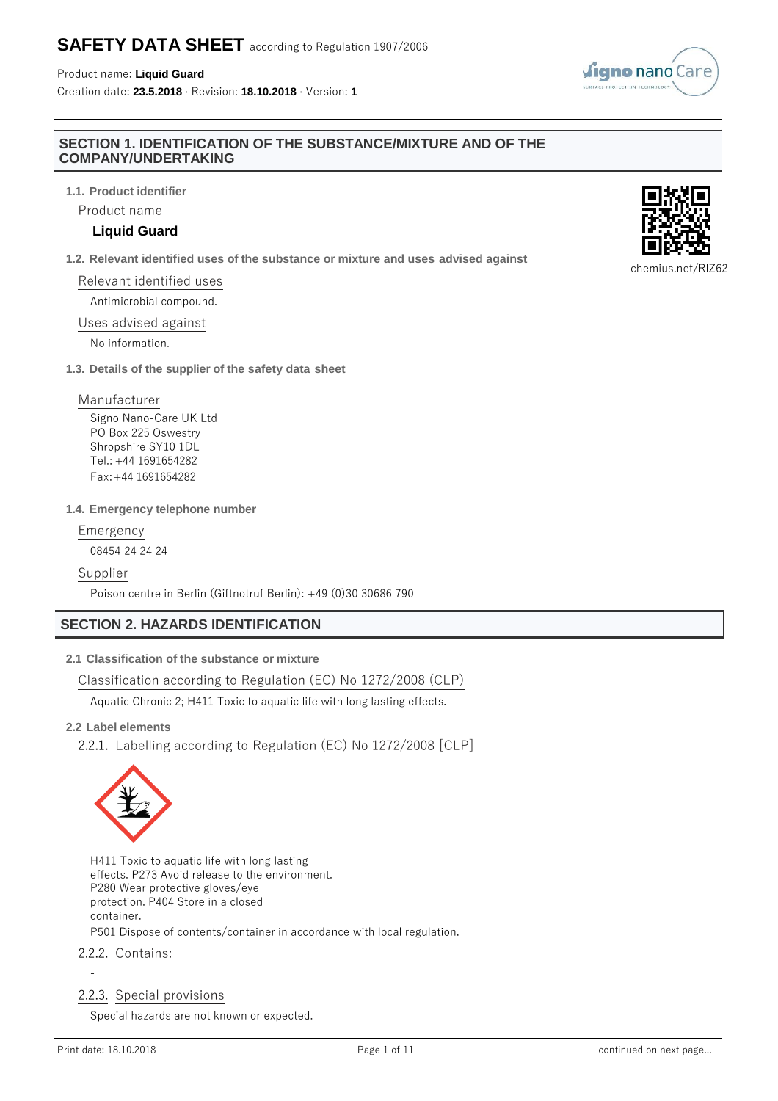#### Product name: **Liquid Guard**

Creation date: **23.5.2018** · Revision: **18.10.2018** · Version: **1**

#### **SECTION 1. IDENTIFICATION OF THE SUBSTANCE/MIXTURE AND OF THE COMPANY/UNDERTAKING**

**1.1. Product identifier**

Product name

### **Liquid Guard**

**1.2. Relevant identified uses of the substance or mixture and uses advised against**

## Relevant identified uses

Antimicrobial compound.

#### Uses advised against

No information.

**1.3. Details of the supplier of the safety data sheet**

#### Manufacturer

Signo Nano-Care UK Ltd PO Box 225 Oswestry Shropshire SY10 1DL Tel.: +44 1691654282 Fax:+44 1691654282

#### **1.4. Emergency telephone number**

Emergency

08454 24 24 24

#### Supplier

Poison centre in Berlin (Giftnotruf Berlin): +49 (0)30 30686 790

## **SECTION 2. HAZARDS IDENTIFICATION**

### **2.1 Classification of the substance or mixture**

Classification according to Regulation (EC) No 1272/2008 (CLP)

Aquatic Chronic 2; H411 Toxic to aquatic life with long lasting effects.

#### **2.2 Label elements**

2.2.1. Labelling according to Regulation (EC) No 1272/2008 [CLP]



H411 Toxic to aquatic life with long lasting effects. P273 Avoid release to the environment. P280 Wear protective gloves/eye protection. P404 Store in a closed container. P501 Dispose of contents/container in accordance with local regulation.

## 2.2.2. Contains:

## 2.2.3. Special provisions

Special hazards are not known or expected.

-





chemius.net/RlZ62

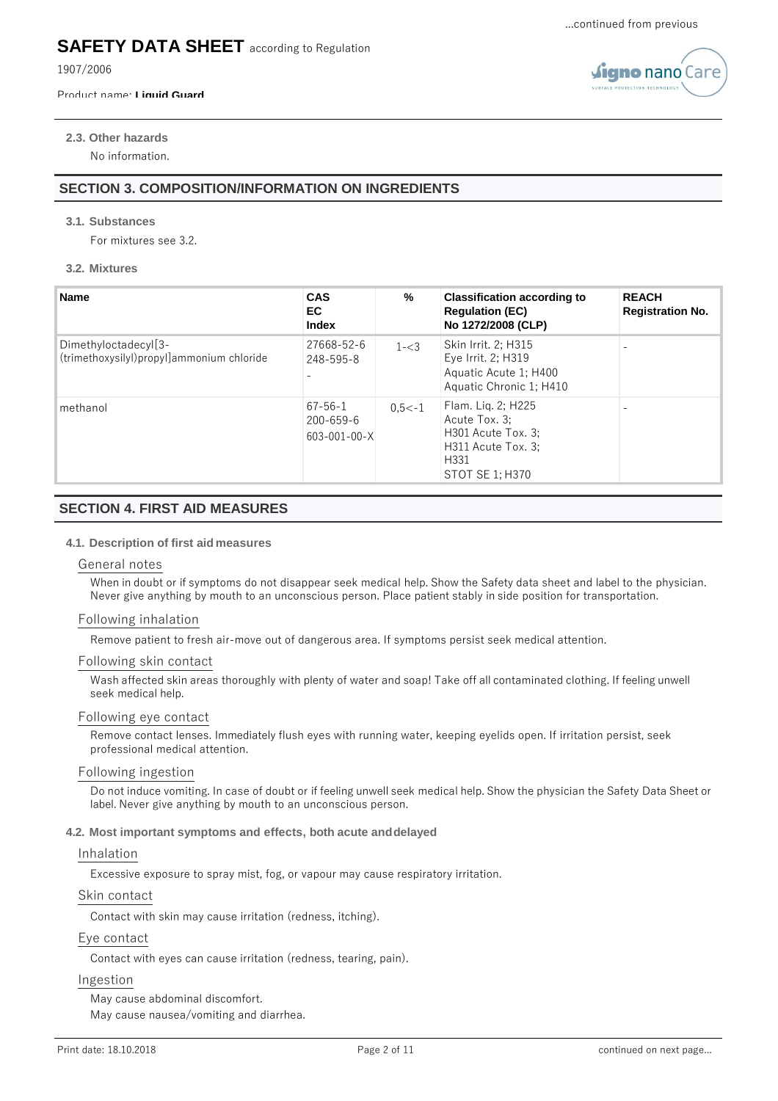figno nano Car

## **SAFETY DATA SHEET** according to Regulation

1907/2006

#### Product name: **Liquid Guard**

**2.3. Other hazards** No information.

## **SECTION 3. COMPOSITION/INFORMATION ON INGREDIENTS**

#### **3.1. Substances**

For mixtures see 3.2.

#### **3.2. Mixtures**

| <b>Name</b>                                                                      | <b>CAS</b><br>EC.<br><b>Index</b>                        | %         | <b>Classification according to</b><br><b>Regulation (EC)</b><br>No 1272/2008 (CLP)                         | <b>REACH</b><br><b>Registration No.</b> |
|----------------------------------------------------------------------------------|----------------------------------------------------------|-----------|------------------------------------------------------------------------------------------------------------|-----------------------------------------|
| Dimethyloctadecyl <sup>[3-1</sup> ]<br>(trimethoxysilyl)propyl]ammonium chloride | 27668-52-6<br>248-595-8                                  | $1 - < 3$ | Skin Irrit. 2: H315<br>Eye Irrit. 2; H319<br>Aquatic Acute 1; H400<br>Aquatic Chronic 1; H410              |                                         |
| methanol                                                                         | $67 - 56 - 1$<br>$200 - 659 - 6$<br>$603 - 001 - 00 - X$ | $0.5< -1$ | Flam. Liq. 2; H225<br>Acute Tox. 3:<br>H301 Acute Tox. 3:<br>H311 Acute Tox. 3:<br>H331<br>STOT SE 1; H370 |                                         |

## **SECTION 4. FIRST AID MEASURES**

#### **4.1. Description of first aid measures**

#### General notes

When in doubt or if symptoms do not disappear seek medical help. Show the Safety data sheet and label to the physician. Never give anything by mouth to an unconscious person. Place patient stably in side position for transportation.

#### Following inhalation

Remove patient to fresh air-move out of dangerous area. If symptoms persist seek medical attention.

#### Following skin contact

Wash affected skin areas thoroughly with plenty of water and soap! Take off all contaminated clothing. If feeling unwell seek medical help.

#### Following eye contact

Remove contact lenses. Immediately flush eyes with running water, keeping eyelids open. If irritation persist, seek professional medical attention.

#### Following ingestion

Do not induce vomiting. In case of doubt or if feeling unwell seek medical help. Show the physician the Safety Data Sheet or label. Never give anything by mouth to an unconscious person.

#### **4.2. Most important symptoms and effects, both acute anddelayed**

#### Inhalation

Excessive exposure to spray mist, fog, or vapour may cause respiratory irritation.

#### Skin contact

Contact with skin may cause irritation (redness, itching).

#### Eye contact

Contact with eyes can cause irritation (redness, tearing, pain).

#### Ingestion

May cause abdominal discomfort. May cause nausea/vomiting and diarrhea.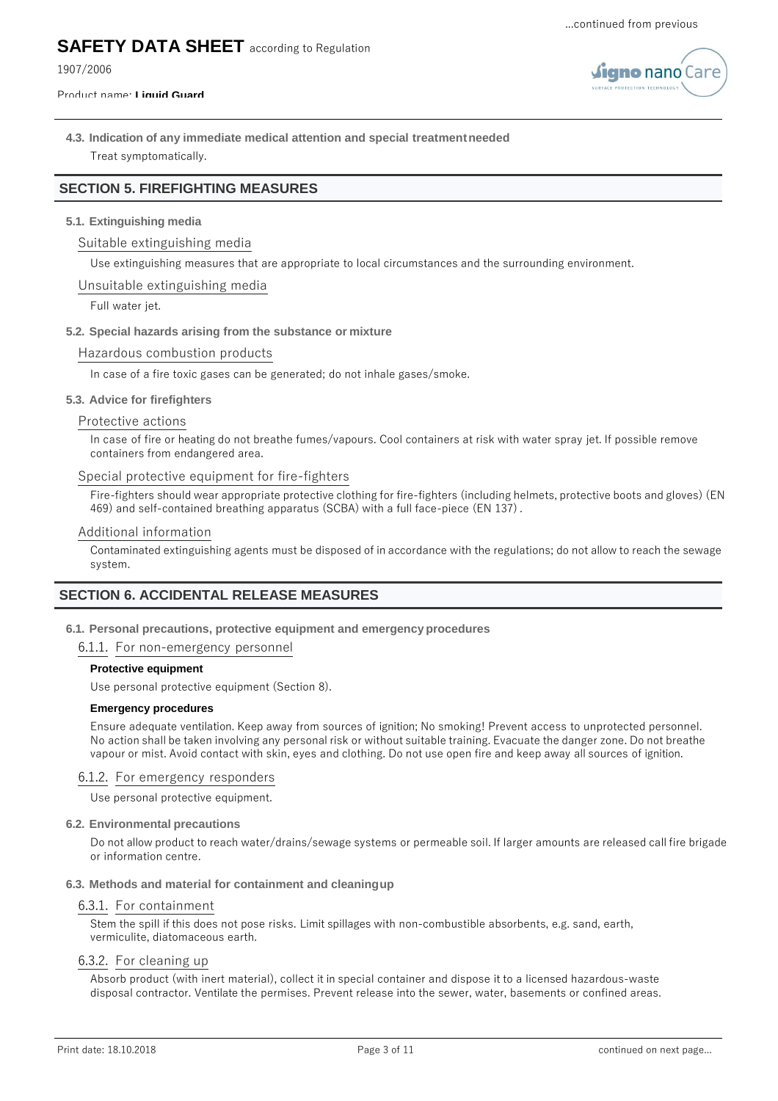**igno** nano Car

## **SAFETY DATA SHEET** according to Regulation

1907/2006

Product name: **Liquid Guard**

## **4.3. Indication of any immediate medical attention and special treatmentneeded** Treat symptomatically.

## **SECTION 5. FIREFIGHTING MEASURES**

#### **5.1. Extinguishing media**

#### Suitable extinguishing media

Use extinguishing measures that are appropriate to local circumstances and the surrounding environment.

#### Unsuitable extinguishing media

Full water jet.

#### **5.2. Special hazards arising from the substance or mixture**

#### Hazardous combustion products

In case of a fire toxic gases can be generated; do not inhale gases/smoke.

#### **5.3. Advice for firefighters**

#### Protective actions

In case of fire or heating do not breathe fumes/vapours. Cool containers at risk with water spray jet. If possible remove containers from endangered area.

#### Special protective equipment for fire-fighters

Fire-fighters should wear appropriate protective clothing for fire-fighters (including helmets, protective boots and gloves) (EN 469) and self-contained breathing apparatus (SCBA) with a full face-piece (EN 137).

#### Additional information

Contaminated extinguishing agents must be disposed of in accordance with the regulations; do not allow to reach the sewage system.

## **SECTION 6. ACCIDENTAL RELEASE MEASURES**

#### **6.1. Personal precautions, protective equipment and emergencyprocedures**

#### 6.1.1. For non-emergency personnel

#### **Protective equipment**

Use personal protective equipment (Section 8).

#### **Emergency procedures**

Ensure adequate ventilation. Keep away from sources of ignition; No smoking! Prevent access to unprotected personnel. No action shall be taken involving any personal risk or without suitable training. Evacuate the danger zone. Do not breathe vapour or mist. Avoid contact with skin, eyes and clothing. Do not use open fire and keep away all sources of ignition.

#### 6.1.2. For emergency responders

Use personal protective equipment.

#### **6.2. Environmental precautions**

Do not allow product to reach water/drains/sewage systems or permeable soil. If larger amounts are released call fire brigade or information centre.

#### **6.3. Methods and material for containment and cleaningup**

#### 6.3.1. For containment

Stem the spill if this does not pose risks. Limit spillages with non-combustible absorbents, e.g. sand, earth, vermiculite, diatomaceous earth.

#### 6.3.2. For cleaning up

Absorb product (with inert material), collect it in special container and dispose it to a licensed hazardous-waste disposal contractor. Ventilate the permises. Prevent release into the sewer, water, basements or confined areas.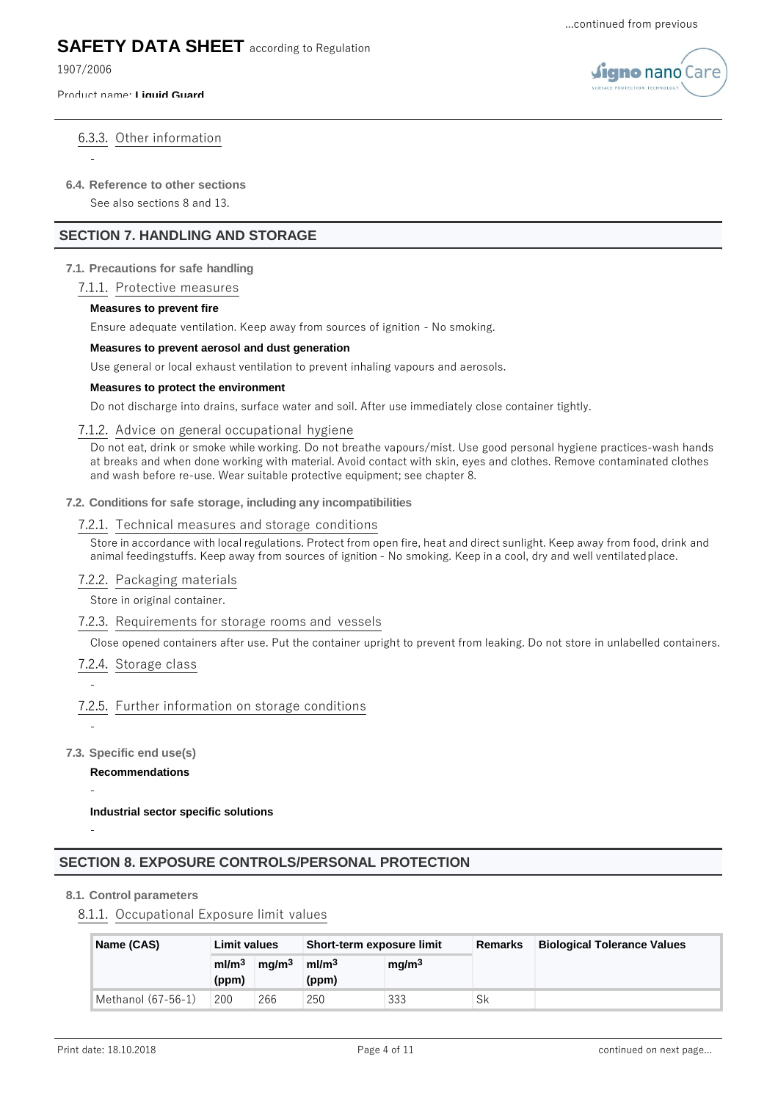1907/2006

-

#### Product name: **Liquid Guard**



## 6.3.3. Other information

## **6.4. Reference to other sections**

See also sections 8 and 13.

## **SECTION 7. HANDLING AND STORAGE**

## **7.1. Precautions for safe handling**

## 7.1.1. Protective measures

## **Measures to prevent fire**

Ensure adequate ventilation. Keep away from sources of ignition - No smoking.

## **Measures to prevent aerosol and dust generation**

Use general or local exhaust ventilation to prevent inhaling vapours and aerosols.

## **Measures to protect the environment**

Do not discharge into drains, surface water and soil. After use immediately close container tightly.

## 7.1.2. Advice on general occupational hygiene

Do not eat, drink or smoke while working. Do not breathe vapours/mist. Use good personal hygiene practices-wash hands at breaks and when done working with material. Avoid contact with skin, eyes and clothes. Remove contaminated clothes and wash before re-use. Wear suitable protective equipment; see chapter 8.

## **7.2. Conditions for safe storage, including any incompatibilities**

## 7.2.1. Technical measures and storage conditions

Store in accordance with local regulations. Protect from open fire, heat and direct sunlight. Keep away from food, drink and animal feedingstuffs. Keep away from sources of ignition - No smoking. Keep in a cool, dry and well ventilatedplace.

## 7.2.2. Packaging materials

Store in original container.

## 7.2.3. Requirements for storage rooms and vessels

Close opened containers after use. Put the container upright to prevent from leaking. Do not store in unlabelled containers.

## 7.2.4. Storage class

## 7.2.5. Further information on storage conditions

-

-

-

-

## **7.3. Specific end use(s)**

**Recommendations**

## **Industrial sector specific solutions**

## **SECTION 8. EXPOSURE CONTROLS/PERSONAL PROTECTION**

## **8.1. Control parameters**

## 8.1.1. Occupational Exposure limit values

| Name (CAS)         | <b>Limit values</b>        |                   | Short-term exposure limit  |                   | <b>Remarks</b> | <b>Biological Tolerance Values</b> |
|--------------------|----------------------------|-------------------|----------------------------|-------------------|----------------|------------------------------------|
|                    | ml/m <sup>3</sup><br>(ppm) | ma/m <sup>3</sup> | ml/m <sup>3</sup><br>(ppm) | mq/m <sup>3</sup> |                |                                    |
| Methanol (67-56-1) | 200                        | 266               | 250                        | 333               | Sk             |                                    |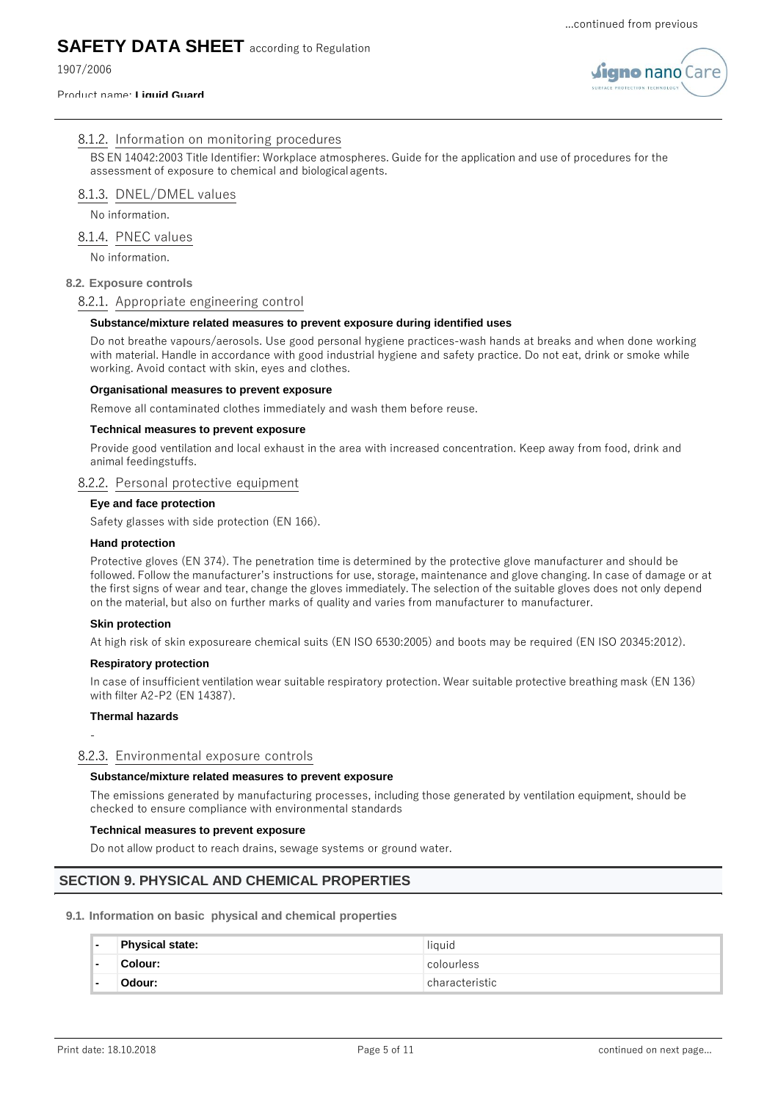1907/2006

#### Product name: **Liquid Guard**



## 8.1.2. Information on monitoring procedures

BS EN 14042:2003 Title Identifier: Workplace atmospheres. Guide for the application and use of procedures for the assessment of exposure to chemical and biologicalagents.

## 8.1.3. DNEL/DMEL values

No information.

## 8.1.4. PNEC values

No information.

## **8.2. Exposure controls**

## 8.2.1. Appropriate engineering control

## **Substance/mixture related measures to prevent exposure during identified uses**

Do not breathe vapours/aerosols. Use good personal hygiene practices-wash hands at breaks and when done working with material. Handle in accordance with good industrial hygiene and safety practice. Do not eat, drink or smoke while working. Avoid contact with skin, eyes and clothes.

## **Organisational measures to prevent exposure**

Remove all contaminated clothes immediately and wash them before reuse.

## **Technical measures to prevent exposure**

Provide good ventilation and local exhaust in the area with increased concentration. Keep away from food, drink and animal feedingstuffs.

### 8.2.2. Personal protective equipment

### **Eye and face protection**

Safety glasses with side protection (EN 166).

#### **Hand protection**

Protective gloves (EN 374). The penetration time is determined by the protective glove manufacturer and should be followed. Follow the manufacturer's instructions for use, storage, maintenance and glove changing. In case of damage or at the first signs of wear and tear, change the gloves immediately. The selection of the suitable gloves does not only depend on the material, but also on further marks of quality and varies from manufacturer to manufacturer.

## **Skin protection**

At high risk of skin exposureare chemical suits (EN ISO 6530:2005) and boots may be required (EN ISO 20345:2012).

## **Respiratory protection**

In case of insufficient ventilation wear suitable respiratory protection. Wear suitable protective breathing mask (EN 136) with filter A2-P2 (EN 14387).

## **Thermal hazards**

## -

## 8.2.3. Environmental exposure controls

## **Substance/mixture related measures to prevent exposure**

The emissions generated by manufacturing processes, including those generated by ventilation equipment, should be checked to ensure compliance with environmental standards

## **Technical measures to prevent exposure**

Do not allow product to reach drains, sewage systems or ground water.

## **SECTION 9. PHYSICAL AND CHEMICAL PROPERTIES**

## **9.1. Information on basic physical and chemical properties**

| ۰.                       | <b>Physical state:</b> | liquid         |
|--------------------------|------------------------|----------------|
| $\overline{\phantom{a}}$ | Colour:                | colourless     |
| $\blacksquare$           | Odour:                 | characteristic |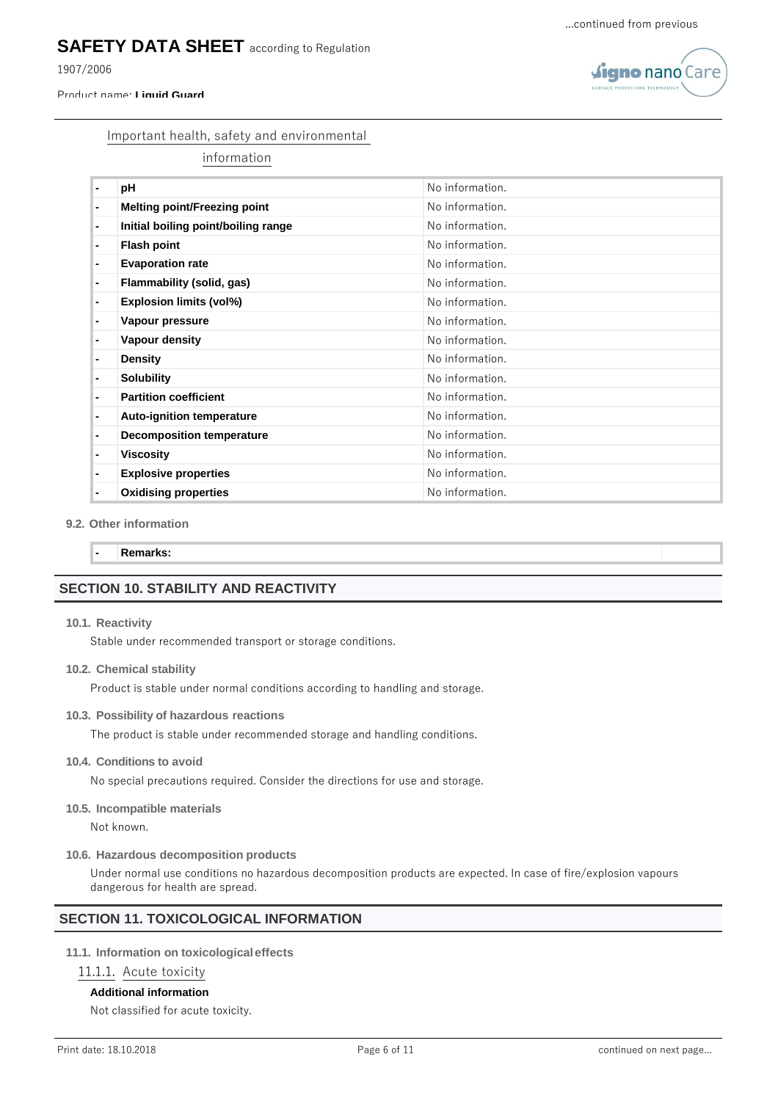1907/2006

#### Product name: **Liquid Guard**



#### Important health, safety and environmental

information

|   | рH                                  | No information. |
|---|-------------------------------------|-----------------|
| ۰ | <b>Melting point/Freezing point</b> | No information. |
| ٠ | Initial boiling point/boiling range | No information. |
| ۰ | <b>Flash point</b>                  | No information. |
| ۰ | <b>Evaporation rate</b>             | No information. |
| ۰ | Flammability (solid, gas)           | No information. |
| ۰ | <b>Explosion limits (vol%)</b>      | No information. |
| ۰ | Vapour pressure                     | No information. |
| ۰ | Vapour density                      | No information. |
| ۰ | <b>Density</b>                      | No information. |
| ۰ | <b>Solubility</b>                   | No information. |
| ۰ | <b>Partition coefficient</b>        | No information. |
| ۰ | <b>Auto-ignition temperature</b>    | No information. |
| ۰ | <b>Decomposition temperature</b>    | No information. |
| ۰ | <b>Viscosity</b>                    | No information. |
| ۰ | <b>Explosive properties</b>         | No information. |
| ۰ | <b>Oxidising properties</b>         | No information. |

#### **9.2. Other information**

**- Remarks:**

## **SECTION 10. STABILITY AND REACTIVITY**

#### **10.1. Reactivity**

Stable under recommended transport or storage conditions.

#### **10.2. Chemical stability**

Product is stable under normal conditions according to handling and storage.

#### **10.3. Possibility of hazardous reactions**

The product is stable under recommended storage and handling conditions.

#### **10.4. Conditions to avoid**

No special precautions required. Consider the directions for use and storage.

#### **10.5. Incompatible materials**

Not known.

#### **10.6. Hazardous decomposition products**

Under normal use conditions no hazardous decomposition products are expected. In case of fire/explosion vapours dangerous for health are spread.

## **SECTION 11. TOXICOLOGICAL INFORMATION**

#### **11.1. Information on toxicologicaleffects**

#### 11.1.1. Acute toxicity

#### **Additional information**

Not classified for acute toxicity.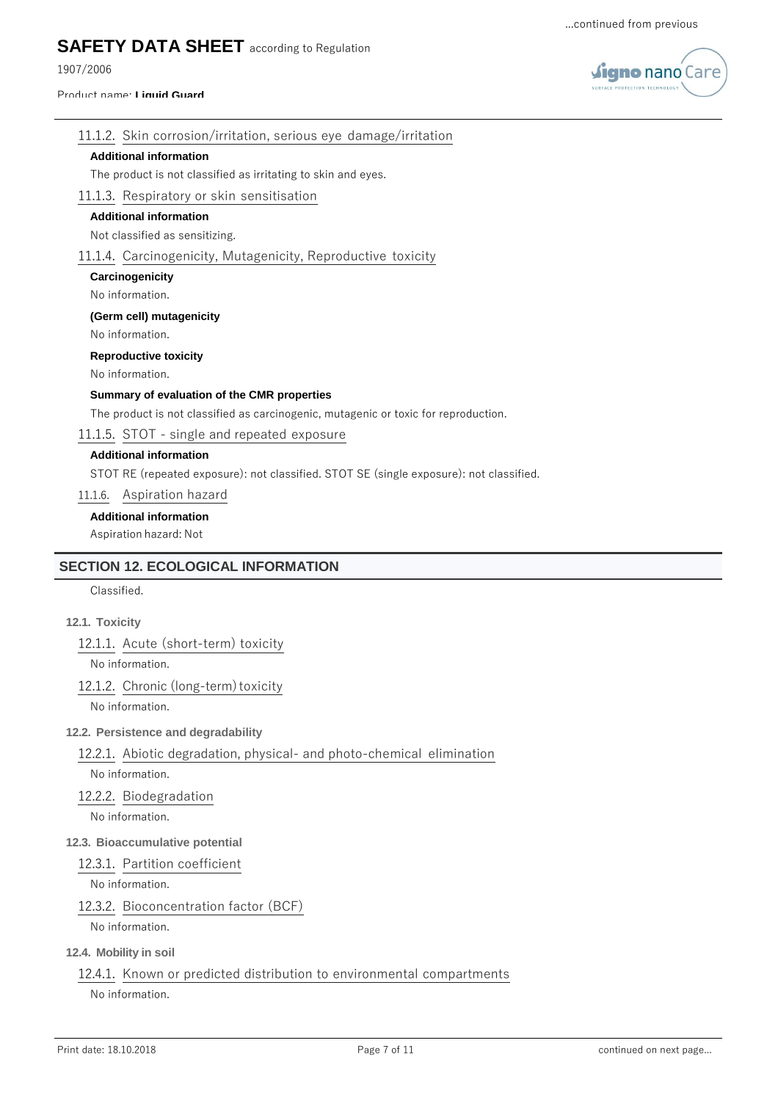1907/2006

#### Product name: **Liquid Guard**



## 11.1.2. Skin corrosion/irritation, serious eye damage/irritation

## **Additional information**

The product is not classified as irritating to skin and eyes.

## 11.1.3. Respiratory or skin sensitisation

## **Additional information**

Not classified as sensitizing.

## 11.1.4. Carcinogenicity, Mutagenicity, Reproductive toxicity

**Carcinogenicity**

### No information.

**(Germ cell) mutagenicity**

No information.

### **Reproductive toxicity**

No information.

## **Summary of evaluation of the CMR properties**

The product is not classified as carcinogenic, mutagenic or toxic for reproduction.

## 11.1.5. STOT - single and repeated exposure

## **Additional information**

STOT RE (repeated exposure): not classified. STOT SE (single exposure): not classified.

11.1.6. Aspiration hazard

## **Additional information**

Aspiration hazard: Not

## **SECTION 12. ECOLOGICAL INFORMATION**

Classified.

## **12.1. Toxicity**

12.1.1. Acute (short-term) toxicity

No information.

#### 12.1.2. Chronic (long-term) toxicity

No information.

## **12.2. Persistence and degradability**

12.2.1. Abiotic degradation, physical- and photo-chemical elimination

# No information.

12.2.2. Biodegradation

No information.

## **12.3. Bioaccumulative potential**

## 12.3.1. Partition coefficient

No information.

## 12.3.2. Bioconcentration factor (BCF)

No information.

## **12.4. Mobility in soil**

## 12.4.1. Known or predicted distribution to environmental compartments

No information.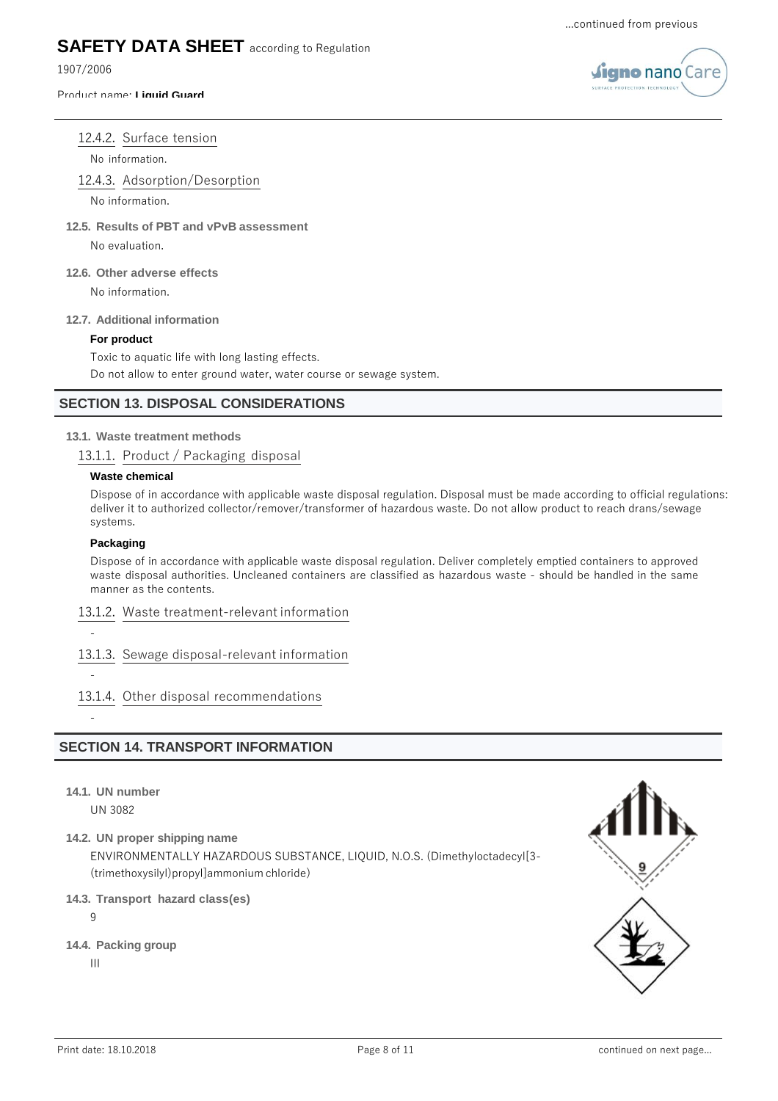1907/2006

#### Product name: **Liquid Guard**



## 12.4.2. Surface tension

No information.

12.4.3. Adsorption/Desorption

No information.

**12.5. Results of PBT and vPvB assessment**

No evaluation.

**12.6. Other adverse effects**

No information.

#### **12.7. Additional information**

#### **For product**

Toxic to aquatic life with long lasting effects. Do not allow to enter ground water, water course or sewage system.

## **SECTION 13. DISPOSAL CONSIDERATIONS**

### **13.1. Waste treatment methods**

13.1.1. Product / Packaging disposal

#### **Waste chemical**

Dispose of in accordance with applicable waste disposal regulation. Disposal must be made according to official regulations: deliver it to authorized collector/remover/transformer of hazardous waste. Do not allow product to reach drans/sewage systems.

#### **Packaging**

Dispose of in accordance with applicable waste disposal regulation. Deliver completely emptied containers to approved waste disposal authorities. Uncleaned containers are classified as hazardous waste - should be handled in the same manner as the contents.

### 13.1.2. Waste treatment-relevant information

-

-

-

13.1.3. Sewage disposal-relevant information

## 13.1.4. Other disposal recommendations

## **SECTION 14. TRANSPORT INFORMATION**

**14.1. UN number**

UN 3082

**14.2. UN proper shipping name**

ENVIRONMENTALLY HAZARDOUS SUBSTANCE, LIQUID, N.O.S. (Dimethyloctadecyl[3- (trimethoxysilyl)propyl]ammonium chloride)

## **14.3. Transport hazard class(es)**

9

**14.4. Packing group**

III

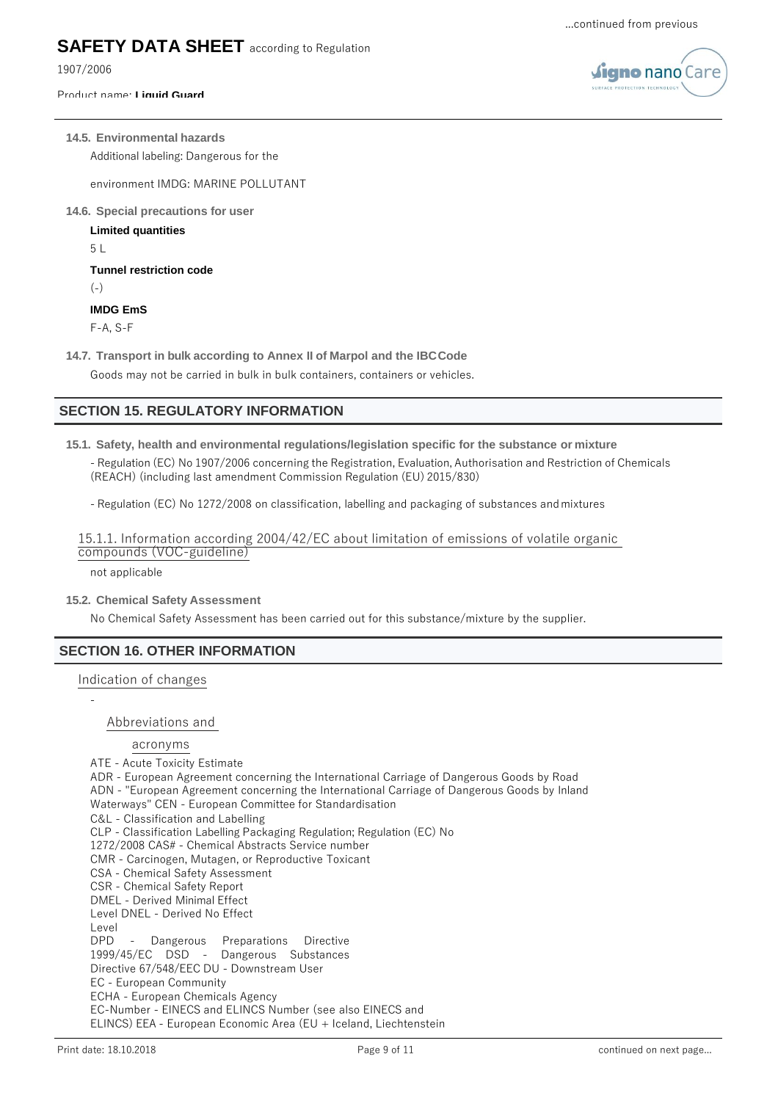1907/2006

#### Product name: **Liquid Guard**



#### **14.5. Environmental hazards**

Additional labeling: Dangerous for the

environment IMDG: MARINE POLLUTANT

**14.6. Special precautions for user**

**Limited quantities**

 $5<sub>1</sub>$ 

**Tunnel restriction code**

 $(-)$ 

### **IMDG EmS**

F-A, S-F

**14.7. Transport in bulk according to Annex II of Marpol and the IBCCode**

Goods may not be carried in bulk in bulk containers, containers or vehicles.

## **SECTION 15. REGULATORY INFORMATION**

**15.1. Safety, health and environmental regulations/legislation specific for the substance or mixture**

- Regulation (EC) No 1907/2006 concerning the Registration, Evaluation, Authorisation and Restriction of Chemicals (REACH) (including last amendment Commission Regulation (EU) 2015/830)

- Regulation (EC) No 1272/2008 on classification, labelling and packaging of substances andmixtures

15.1.1. Information according 2004/42/EC about limitation of emissions of volatile organic compounds (VOC-guideline)

not applicable

#### **15.2. Chemical Safety Assessment**

No Chemical Safety Assessment has been carried out for this substance/mixture by the supplier.

#### **SECTION 16. OTHER INFORMATION**

Indication of changes

-

Abbreviations and

#### acronyms

ATE - Acute Toxicity Estimate ADR - European Agreement concerning the International Carriage of Dangerous Goods by Road ADN - "European Agreement concerning the International Carriage of Dangerous Goods by Inland Waterways" CEN - European Committee for Standardisation C&L - Classification and Labelling CLP - Classification Labelling Packaging Regulation; Regulation (EC) No 1272/2008 CAS# - Chemical Abstracts Service number CMR - Carcinogen, Mutagen, or Reproductive Toxicant CSA - Chemical Safety Assessment CSR - Chemical Safety Report DMEL - Derived Minimal Effect Level DNEL - Derived No Effect Level DPD - Dangerous Preparations Directive 1999/45/EC DSD - Dangerous Substances Directive 67/548/EEC DU - Downstream User EC - European Community ECHA - European Chemicals Agency EC-Number - EINECS and ELINCS Number (see also EINECS and ELINCS) EEA - European Economic Area (EU + Iceland, Liechtenstein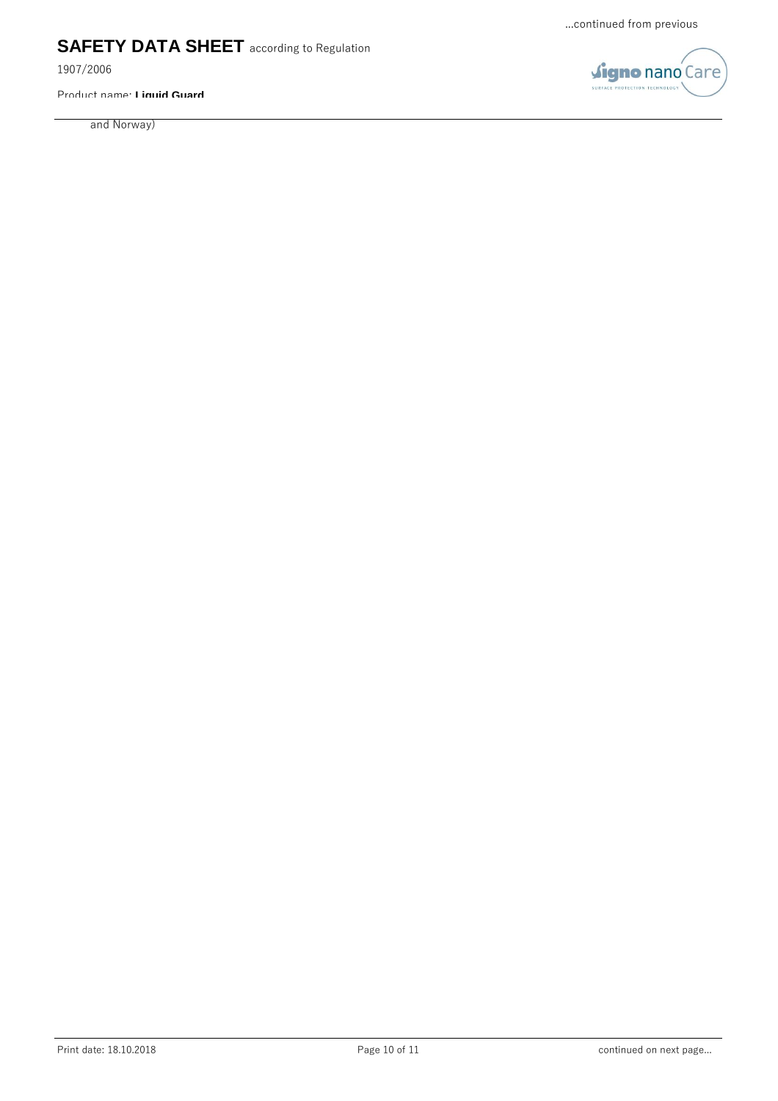1907/2006

Product name: **Liquid Guard**

and Norway)

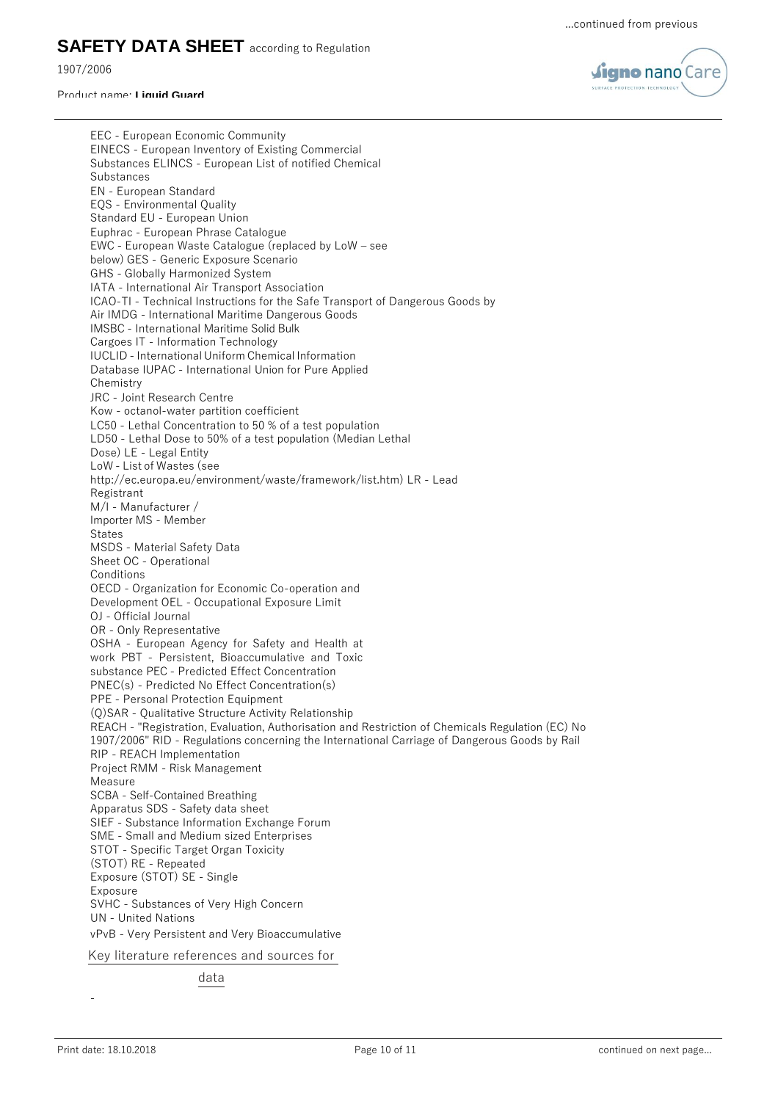1907/2006

#### Product name: **Liquid Guard**



EEC - European Economic Community EINECS - European Inventory of Existing Commercial Substances ELINCS - European List of notified Chemical Substances EN - European Standard EQS - Environmental Quality Standard EU - European Union Euphrac - European Phrase Catalogue EWC - European Waste Catalogue (replaced by LoW – see below) GES - Generic Exposure Scenario GHS - Globally Harmonized System IATA - International Air Transport Association ICAO-TI - Technical Instructions for the Safe Transport of Dangerous Goods by Air IMDG - International Maritime Dangerous Goods IMSBC - International Maritime Solid Bulk Cargoes IT - Information Technology IUCLID - International Uniform Chemical Information Database IUPAC - International Union for Pure Applied Chemistry JRC - Joint Research Centre Kow - octanol-water partition coefficient LC50 - Lethal Concentration to 50 % of a test population LD50 - Lethal Dose to 50% of a test population (Median Lethal Dose) LE - Legal Entity LoW - List of Wastes (see [http://ec.europa.eu/environment/waste/framework/list.htm\)](http://ec.europa.eu/environment/waste/framework/list.htm)) LR - Lead Registrant M/I - Manufacturer / Importer MS - Member **States** MSDS - Material Safety Data Sheet OC - Operational Conditions OECD - Organization for Economic Co-operation and Development OEL - Occupational Exposure Limit OJ - Official Journal OR - Only Representative OSHA - European Agency for Safety and Health at work PBT - Persistent, Bioaccumulative and Toxic substance PEC - Predicted Effect Concentration PNEC(s) - Predicted No Effect Concentration(s) PPE - Personal Protection Equipment (Q)SAR - Qualitative Structure Activity Relationship REACH - "Registration, Evaluation, Authorisation and Restriction of Chemicals Regulation (EC) No 1907/2006" RID - Regulations concerning the International Carriage of Dangerous Goods by Rail RIP - REACH Implementation Project RMM - Risk Management Measure SCBA - Self-Contained Breathing Apparatus SDS - Safety data sheet SIEF - Substance Information Exchange Forum SME - Small and Medium sized Enterprises STOT - Specific Target Organ Toxicity (STOT) RE - Repeated Exposure (STOT) SE - Single Exposure SVHC - Substances of Very High Concern UN - United Nations vPvB - Very Persistent and Very Bioaccumulative

Key literature references and sources for

data

-